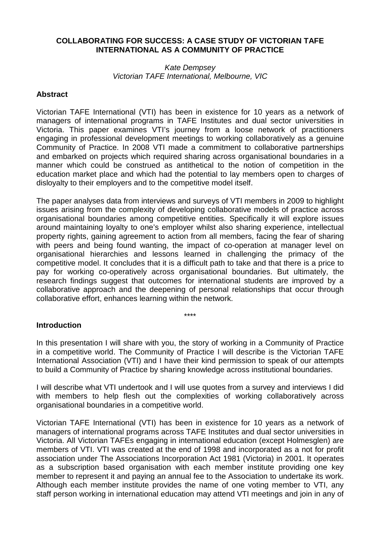### **COLLABORATING FOR SUCCESS: A CASE STUDY OF VICTORIAN TAFE INTERNATIONAL AS A COMMUNITY OF PRACTICE**

#### Kate Dempsey Victorian TAFE International, Melbourne, VIC

#### **Abstract**

Victorian TAFE International (VTI) has been in existence for 10 years as a network of managers of international programs in TAFE Institutes and dual sector universities in Victoria. This paper examines VTI's journey from a loose network of practitioners engaging in professional development meetings to working collaboratively as a genuine Community of Practice. In 2008 VTI made a commitment to collaborative partnerships and embarked on projects which required sharing across organisational boundaries in a manner which could be construed as antithetical to the notion of competition in the education market place and which had the potential to lay members open to charges of disloyalty to their employers and to the competitive model itself.

The paper analyses data from interviews and surveys of VTI members in 2009 to highlight issues arising from the complexity of developing collaborative models of practice across organisational boundaries among competitive entities. Specifically it will explore issues around maintaining loyalty to one's employer whilst also sharing experience, intellectual property rights, gaining agreement to action from all members, facing the fear of sharing with peers and being found wanting, the impact of co-operation at manager level on organisational hierarchies and lessons learned in challenging the primacy of the competitive model. It concludes that it is a difficult path to take and that there is a price to pay for working co-operatively across organisational boundaries. But ultimately, the research findings suggest that outcomes for international students are improved by a collaborative approach and the deepening of personal relationships that occur through collaborative effort, enhances learning within the network.

\*\*\*\*

#### **Introduction**

In this presentation I will share with you, the story of working in a Community of Practice in a competitive world. The Community of Practice I will describe is the Victorian TAFE International Association (VTI) and I have their kind permission to speak of our attempts to build a Community of Practice by sharing knowledge across institutional boundaries.

I will describe what VTI undertook and I will use quotes from a survey and interviews I did with members to help flesh out the complexities of working collaboratively across organisational boundaries in a competitive world.

Victorian TAFE International (VTI) has been in existence for 10 years as a network of managers of international programs across TAFE Institutes and dual sector universities in Victoria. All Victorian TAFEs engaging in international education (except Holmesglen) are members of VTI. VTI was created at the end of 1998 and incorporated as a not for profit association under The Associations Incorporation Act 1981 (Victoria) in 2001. It operates as a subscription based organisation with each member institute providing one key member to represent it and paying an annual fee to the Association to undertake its work. Although each member institute provides the name of one voting member to VTI, any staff person working in international education may attend VTI meetings and join in any of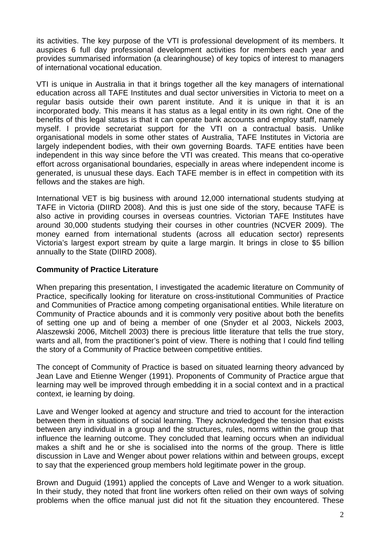its activities. The key purpose of the VTI is professional development of its members. It auspices 6 full day professional development activities for members each year and provides summarised information (a clearinghouse) of key topics of interest to managers of international vocational education.

VTI is unique in Australia in that it brings together all the key managers of international education across all TAFE Institutes and dual sector universities in Victoria to meet on a regular basis outside their own parent institute. And it is unique in that it is an incorporated body. This means it has status as a legal entity in its own right. One of the benefits of this legal status is that it can operate bank accounts and employ staff, namely myself. I provide secretariat support for the VTI on a contractual basis. Unlike organisational models in some other states of Australia, TAFE Institutes in Victoria are largely independent bodies, with their own governing Boards. TAFE entities have been independent in this way since before the VTI was created. This means that co-operative effort across organisational boundaries, especially in areas where independent income is generated, is unusual these days. Each TAFE member is in effect in competition with its fellows and the stakes are high.

International VET is big business with around 12,000 international students studying at TAFE in Victoria (DIIRD 2008). And this is just one side of the story, because TAFE is also active in providing courses in overseas countries. Victorian TAFE Institutes have around 30,000 students studying their courses in other countries (NCVER 2009). The money earned from international students (across all education sector) represents Victoria's largest export stream by quite a large margin. It brings in close to \$5 billion annually to the State (DIIRD 2008).

## **Community of Practice Literature**

When preparing this presentation, I investigated the academic literature on Community of Practice, specifically looking for literature on cross-institutional Communities of Practice and Communities of Practice among competing organisational entities. While literature on Community of Practice abounds and it is commonly very positive about both the benefits of setting one up and of being a member of one (Snyder et al 2003, Nickels 2003, Alaszewski 2006, Mitchell 2003) there is precious little literature that tells the true story, warts and all, from the practitioner's point of view. There is nothing that I could find telling the story of a Community of Practice between competitive entities.

The concept of Community of Practice is based on situated learning theory advanced by Jean Lave and Etienne Wenger (1991). Proponents of Community of Practice argue that learning may well be improved through embedding it in a social context and in a practical context, ie learning by doing.

Lave and Wenger looked at agency and structure and tried to account for the interaction between them in situations of social learning. They acknowledged the tension that exists between any individual in a group and the structures, rules, norms within the group that influence the learning outcome. They concluded that learning occurs when an individual makes a shift and he or she is socialised into the norms of the group. There is little discussion in Lave and Wenger about power relations within and between groups, except to say that the experienced group members hold legitimate power in the group.

Brown and Duguid (1991) applied the concepts of Lave and Wenger to a work situation. In their study, they noted that front line workers often relied on their own ways of solving problems when the office manual just did not fit the situation they encountered. These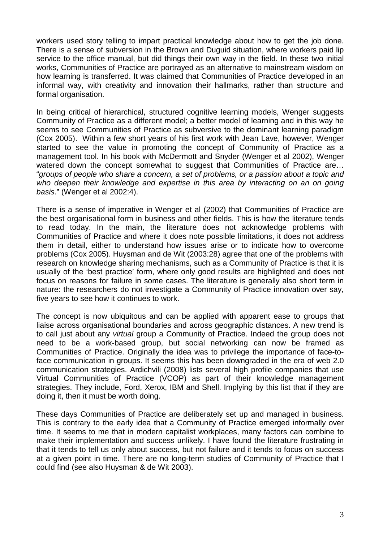workers used story telling to impart practical knowledge about how to get the job done. There is a sense of subversion in the Brown and Duguid situation, where workers paid lip service to the office manual, but did things their own way in the field. In these two initial works, Communities of Practice are portrayed as an alternative to mainstream wisdom on how learning is transferred. It was claimed that Communities of Practice developed in an informal way, with creativity and innovation their hallmarks, rather than structure and formal organisation.

In being critical of hierarchical, structured cognitive learning models, Wenger suggests Community of Practice as a different model; a better model of learning and in this way he seems to see Communities of Practice as subversive to the dominant learning paradigm (Cox 2005). Within a few short years of his first work with Jean Lave, however, Wenger started to see the value in promoting the concept of Community of Practice as a management tool. In his book with McDermott and Snyder (Wenger et al 2002), Wenger watered down the concept somewhat to suggest that Communities of Practice are... "groups of people who share a concern, a set of problems, or a passion about a topic and who deepen their knowledge and expertise in this area by interacting on an on going basis." (Wenger et al 2002:4).

There is a sense of imperative in Wenger et al (2002) that Communities of Practice are the best organisational form in business and other fields. This is how the literature tends to read today. In the main, the literature does not acknowledge problems with Communities of Practice and where it does note possible limitations, it does not address them in detail, either to understand how issues arise or to indicate how to overcome problems (Cox 2005). Huysman and de Wit (2003:28) agree that one of the problems with research on knowledge sharing mechanisms, such as a Community of Practice is that it is usually of the 'best practice' form, where only good results are highlighted and does not focus on reasons for failure in some cases. The literature is generally also short term in nature: the researchers do not investigate a Community of Practice innovation over say, five years to see how it continues to work.

The concept is now ubiquitous and can be applied with apparent ease to groups that liaise across organisational boundaries and across geographic distances. A new trend is to call just about any virtual group a Community of Practice. Indeed the group does not need to be a work-based group, but social networking can now be framed as Communities of Practice. Originally the idea was to privilege the importance of face-toface communication in groups. It seems this has been downgraded in the era of web 2.0 communication strategies. Ardichvili (2008) lists several high profile companies that use Virtual Communities of Practice (VCOP) as part of their knowledge management strategies. They include, Ford, Xerox, IBM and Shell. Implying by this list that if they are doing it, then it must be worth doing.

These days Communities of Practice are deliberately set up and managed in business. This is contrary to the early idea that a Community of Practice emerged informally over time. It seems to me that in modern capitalist workplaces, many factors can combine to make their implementation and success unlikely. I have found the literature frustrating in that it tends to tell us only about success, but not failure and it tends to focus on success at a given point in time. There are no long-term studies of Community of Practice that I could find (see also Huysman & de Wit 2003).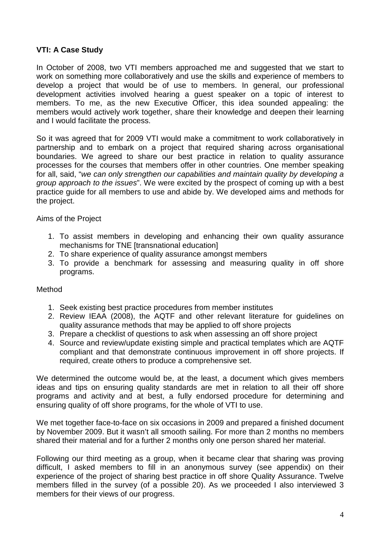## **VTI: A Case Study**

In October of 2008, two VTI members approached me and suggested that we start to work on something more collaboratively and use the skills and experience of members to develop a project that would be of use to members. In general, our professional development activities involved hearing a guest speaker on a topic of interest to members. To me, as the new Executive Officer, this idea sounded appealing: the members would actively work together, share their knowledge and deepen their learning and I would facilitate the process.

So it was agreed that for 2009 VTI would make a commitment to work collaboratively in partnership and to embark on a project that required sharing across organisational boundaries. We agreed to share our best practice in relation to quality assurance processes for the courses that members offer in other countries. One member speaking for all, said, "we can only strengthen our capabilities and maintain quality by developing a group approach to the issues". We were excited by the prospect of coming up with a best practice guide for all members to use and abide by. We developed aims and methods for the project.

Aims of the Project

- 1. To assist members in developing and enhancing their own quality assurance mechanisms for TNE [transnational education]
- 2. To share experience of quality assurance amongst members
- 3. To provide a benchmark for assessing and measuring quality in off shore programs.

#### Method

- 1. Seek existing best practice procedures from member institutes
- 2. Review IEAA (2008), the AQTF and other relevant literature for guidelines on quality assurance methods that may be applied to off shore projects
- 3. Prepare a checklist of questions to ask when assessing an off shore project
- 4. Source and review/update existing simple and practical templates which are AQTF compliant and that demonstrate continuous improvement in off shore projects. If required, create others to produce a comprehensive set.

We determined the outcome would be, at the least, a document which gives members ideas and tips on ensuring quality standards are met in relation to all their off shore programs and activity and at best, a fully endorsed procedure for determining and ensuring quality of off shore programs, for the whole of VTI to use.

We met together face-to-face on six occasions in 2009 and prepared a finished document by November 2009. But it wasn't all smooth sailing. For more than 2 months no members shared their material and for a further 2 months only one person shared her material.

Following our third meeting as a group, when it became clear that sharing was proving difficult, I asked members to fill in an anonymous survey (see appendix) on their experience of the project of sharing best practice in off shore Quality Assurance. Twelve members filled in the survey (of a possible 20). As we proceeded I also interviewed 3 members for their views of our progress.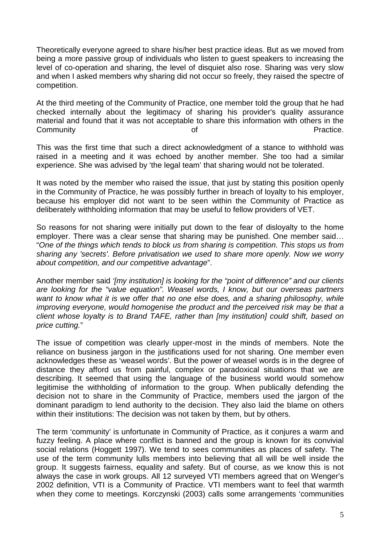Theoretically everyone agreed to share his/her best practice ideas. But as we moved from being a more passive group of individuals who listen to guest speakers to increasing the level of co-operation and sharing, the level of disquiet also rose. Sharing was very slow and when I asked members why sharing did not occur so freely, they raised the spectre of competition.

At the third meeting of the Community of Practice, one member told the group that he had checked internally about the legitimacy of sharing his provider's quality assurance material and found that it was not acceptable to share this information with others in the Community **Community Community Community Community Community Community Community Community Community Community Community Community Community Community Community Community Community Communi** 

This was the first time that such a direct acknowledgment of a stance to withhold was raised in a meeting and it was echoed by another member. She too had a similar experience. She was advised by 'the legal team' that sharing would not be tolerated.

It was noted by the member who raised the issue, that just by stating this position openly in the Community of Practice, he was possibly further in breach of loyalty to his employer, because his employer did not want to be seen within the Community of Practice as deliberately withholding information that may be useful to fellow providers of VET.

So reasons for not sharing were initially put down to the fear of disloyalty to the home employer. There was a clear sense that sharing may be punished. One member said... "One of the things which tends to block us from sharing is competition. This stops us from sharing any 'secrets'. Before privatisation we used to share more openly. Now we worry about competition, and our competitive advantage".

Another member said '[my institution] is looking for the "point of difference" and our clients are looking for the "value equation". Weasel words, I know, but our overseas partners want to know what it is we offer that no one else does, and a sharing philosophy, while improving everyone, would homogenise the product and the perceived risk may be that a client whose loyalty is to Brand TAFE, rather than [my institution] could shift, based on price cutting."

The issue of competition was clearly upper-most in the minds of members. Note the reliance on business jargon in the justifications used for not sharing. One member even acknowledges these as 'weasel words'. But the power of weasel words is in the degree of distance they afford us from painful, complex or paradoxical situations that we are describing. It seemed that using the language of the business world would somehow legitimise the withholding of information to the group. When publically defending the decision not to share in the Community of Practice, members used the jargon of the dominant paradigm to lend authority to the decision. They also laid the blame on others within their institutions: The decision was not taken by them, but by others.

The term 'community' is unfortunate in Community of Practice, as it conjures a warm and fuzzy feeling. A place where conflict is banned and the group is known for its convivial social relations (Hoggett 1997). We tend to sees communities as places of safety. The use of the term community lulls members into believing that all will be well inside the group. It suggests fairness, equality and safety. But of course, as we know this is not always the case in work groups. All 12 surveyed VTI members agreed that on Wenger's 2002 definition, VTI is a Community of Practice. VTI members want to feel that warmth when they come to meetings. Korczynski (2003) calls some arrangements 'communities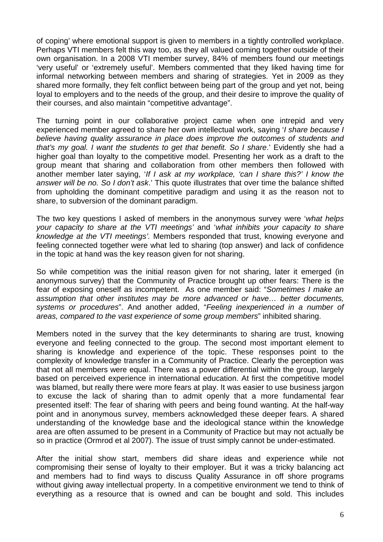of coping' where emotional support is given to members in a tightly controlled workplace. Perhaps VTI members felt this way too, as they all valued coming together outside of their own organisation. In a 2008 VTI member survey, 84% of members found our meetings 'very useful' or 'extremely useful'. Members commented that they liked having time for informal networking between members and sharing of strategies. Yet in 2009 as they shared more formally, they felt conflict between being part of the group and yet not, being loyal to employers and to the needs of the group, and their desire to improve the quality of their courses, and also maintain "competitive advantage".

The turning point in our collaborative project came when one intrepid and very experienced member agreed to share her own intellectual work, saying 'I share because I believe having quality assurance in place does improve the outcomes of students and that's my goal. I want the students to get that benefit. So I share.' Evidently she had a higher goal than loyalty to the competitive model. Presenting her work as a draft to the group meant that sharing and collaboration from other members then followed with another member later saying, 'If I ask at my workplace, 'can I share this?' I know the answer will be no. So I don't ask.' This quote illustrates that over time the balance shifted from upholding the dominant competitive paradigm and using it as the reason not to share, to subversion of the dominant paradigm.

The two key questions I asked of members in the anonymous survey were 'what helps your capacity to share at the VTI meetings' and 'what inhibits your capacity to share knowledge at the VTI meetings'. Members responded that trust, knowing everyone and feeling connected together were what led to sharing (top answer) and lack of confidence in the topic at hand was the key reason given for not sharing.

So while competition was the initial reason given for not sharing, later it emerged (in anonymous survey) that the Community of Practice brought up other fears: There is the fear of exposing oneself as incompetent. As one member said: "Sometimes I make an assumption that other institutes may be more advanced or have… better documents, systems or procedures". And another added, "Feeling inexperienced in a number of areas, compared to the vast experience of some group members" inhibited sharing.

Members noted in the survey that the key determinants to sharing are trust, knowing everyone and feeling connected to the group. The second most important element to sharing is knowledge and experience of the topic. These responses point to the complexity of knowledge transfer in a Community of Practice. Clearly the perception was that not all members were equal. There was a power differential within the group, largely based on perceived experience in international education. At first the competitive model was blamed, but really there were more fears at play. It was easier to use business jargon to excuse the lack of sharing than to admit openly that a more fundamental fear presented itself: The fear of sharing with peers and being found wanting. At the half-way point and in anonymous survey, members acknowledged these deeper fears. A shared understanding of the knowledge base and the ideological stance within the knowledge area are often assumed to be present in a Community of Practice but may not actually be so in practice (Ormrod et al 2007). The issue of trust simply cannot be under-estimated.

After the initial show start, members did share ideas and experience while not compromising their sense of loyalty to their employer. But it was a tricky balancing act and members had to find ways to discuss Quality Assurance in off shore programs without giving away intellectual property. In a competitive environment we tend to think of everything as a resource that is owned and can be bought and sold. This includes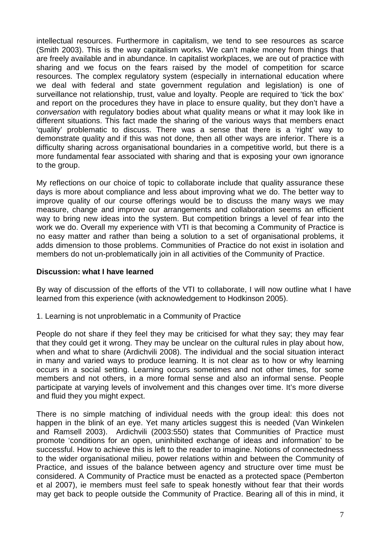intellectual resources. Furthermore in capitalism, we tend to see resources as scarce (Smith 2003). This is the way capitalism works. We can't make money from things that are freely available and in abundance. In capitalist workplaces, we are out of practice with sharing and we focus on the fears raised by the model of competition for scarce resources. The complex regulatory system (especially in international education where we deal with federal and state government regulation and legislation) is one of surveillance not relationship, trust, value and loyalty. People are required to 'tick the box' and report on the procedures they have in place to ensure quality, but they don't have a conversation with regulatory bodies about what quality means or what it may look like in different situations. This fact made the sharing of the various ways that members enact 'quality' problematic to discuss. There was a sense that there is a 'right' way to demonstrate quality and if this was not done, then all other ways are inferior. There is a difficulty sharing across organisational boundaries in a competitive world, but there is a more fundamental fear associated with sharing and that is exposing your own ignorance to the group.

My reflections on our choice of topic to collaborate include that quality assurance these days is more about compliance and less about improving what we do. The better way to improve quality of our course offerings would be to discuss the many ways we may measure, change and improve our arrangements and collaboration seems an efficient way to bring new ideas into the system. But competition brings a level of fear into the work we do. Overall my experience with VTI is that becoming a Community of Practice is no easy matter and rather than being a solution to a set of organisational problems, it adds dimension to those problems. Communities of Practice do not exist in isolation and members do not un-problematically join in all activities of the Community of Practice.

#### **Discussion: what I have learned**

By way of discussion of the efforts of the VTI to collaborate, I will now outline what I have learned from this experience (with acknowledgement to Hodkinson 2005).

1. Learning is not unproblematic in a Community of Practice

People do not share if they feel they may be criticised for what they say; they may fear that they could get it wrong. They may be unclear on the cultural rules in play about how, when and what to share (Ardichvili 2008). The individual and the social situation interact in many and varied ways to produce learning. It is not clear as to how or why learning occurs in a social setting. Learning occurs sometimes and not other times, for some members and not others, in a more formal sense and also an informal sense. People participate at varying levels of involvement and this changes over time. It's more diverse and fluid they you might expect.

There is no simple matching of individual needs with the group ideal: this does not happen in the blink of an eye. Yet many articles suggest this is needed (Van Winkelen and Ramsell 2003). Ardichvili (2003:550) states that Communities of Practice must promote 'conditions for an open, uninhibited exchange of ideas and information' to be successful. How to achieve this is left to the reader to imagine. Notions of connectedness to the wider organisational milieu, power relations within and between the Community of Practice, and issues of the balance between agency and structure over time must be considered. A Community of Practice must be enacted as a protected space (Pemberton et al 2007), ie members must feel safe to speak honestly without fear that their words may get back to people outside the Community of Practice. Bearing all of this in mind, it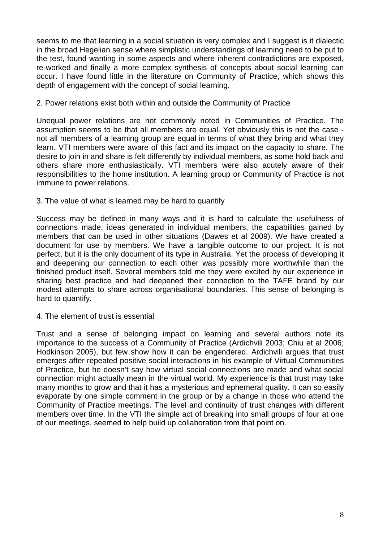seems to me that learning in a social situation is very complex and I suggest is it dialectic in the broad Hegelian sense where simplistic understandings of learning need to be put to the test, found wanting in some aspects and where inherent contradictions are exposed, re-worked and finally a more complex synthesis of concepts about social learning can occur. I have found little in the literature on Community of Practice, which shows this depth of engagement with the concept of social learning.

### 2. Power relations exist both within and outside the Community of Practice

Unequal power relations are not commonly noted in Communities of Practice. The assumption seems to be that all members are equal. Yet obviously this is not the case not all members of a learning group are equal in terms of what they bring and what they learn. VTI members were aware of this fact and its impact on the capacity to share. The desire to join in and share is felt differently by individual members, as some hold back and others share more enthusiastically. VTI members were also acutely aware of their responsibilities to the home institution. A learning group or Community of Practice is not immune to power relations.

#### 3. The value of what is learned may be hard to quantify

Success may be defined in many ways and it is hard to calculate the usefulness of connections made, ideas generated in individual members, the capabilities gained by members that can be used in other situations (Dawes et al 2009). We have created a document for use by members. We have a tangible outcome to our project. It is not perfect, but it is the only document of its type in Australia. Yet the process of developing it and deepening our connection to each other was possibly more worthwhile than the finished product itself. Several members told me they were excited by our experience in sharing best practice and had deepened their connection to the TAFE brand by our modest attempts to share across organisational boundaries. This sense of belonging is hard to quantify.

4. The element of trust is essential

Trust and a sense of belonging impact on learning and several authors note its importance to the success of a Community of Practice (Ardichvili 2003; Chiu et al 2006; Hodkinson 2005), but few show how it can be engendered. Ardichvili argues that trust emerges after repeated positive social interactions in his example of Virtual Communities of Practice, but he doesn't say how virtual social connections are made and what social connection might actually mean in the virtual world. My experience is that trust may take many months to grow and that it has a mysterious and ephemeral quality. It can so easily evaporate by one simple comment in the group or by a change in those who attend the Community of Practice meetings. The level and continuity of trust changes with different members over time. In the VTI the simple act of breaking into small groups of four at one of our meetings, seemed to help build up collaboration from that point on.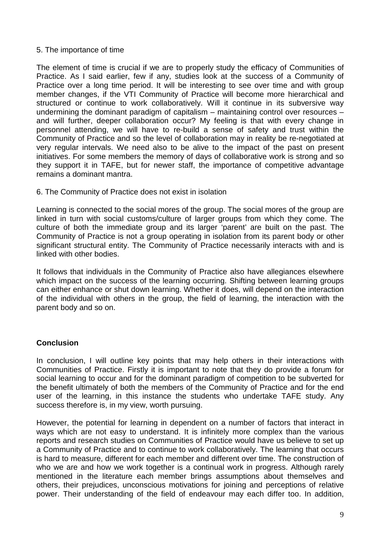#### 5. The importance of time

The element of time is crucial if we are to properly study the efficacy of Communities of Practice. As I said earlier, few if any, studies look at the success of a Community of Practice over a long time period. It will be interesting to see over time and with group member changes, if the VTI Community of Practice will become more hierarchical and structured or continue to work collaboratively. Will it continue in its subversive way undermining the dominant paradigm of capitalism – maintaining control over resources – and will further, deeper collaboration occur? My feeling is that with every change in personnel attending, we will have to re-build a sense of safety and trust within the Community of Practice and so the level of collaboration may in reality be re-negotiated at very regular intervals. We need also to be alive to the impact of the past on present initiatives. For some members the memory of days of collaborative work is strong and so they support it in TAFE, but for newer staff, the importance of competitive advantage remains a dominant mantra.

#### 6. The Community of Practice does not exist in isolation

Learning is connected to the social mores of the group. The social mores of the group are linked in turn with social customs/culture of larger groups from which they come. The culture of both the immediate group and its larger 'parent' are built on the past. The Community of Practice is not a group operating in isolation from its parent body or other significant structural entity. The Community of Practice necessarily interacts with and is linked with other bodies.

It follows that individuals in the Community of Practice also have allegiances elsewhere which impact on the success of the learning occurring. Shifting between learning groups can either enhance or shut down learning. Whether it does, will depend on the interaction of the individual with others in the group, the field of learning, the interaction with the parent body and so on.

#### **Conclusion**

In conclusion, I will outline key points that may help others in their interactions with Communities of Practice. Firstly it is important to note that they do provide a forum for social learning to occur and for the dominant paradigm of competition to be subverted for the benefit ultimately of both the members of the Community of Practice and for the end user of the learning, in this instance the students who undertake TAFE study. Any success therefore is, in my view, worth pursuing.

However, the potential for learning in dependent on a number of factors that interact in ways which are not easy to understand. It is infinitely more complex than the various reports and research studies on Communities of Practice would have us believe to set up a Community of Practice and to continue to work collaboratively. The learning that occurs is hard to measure, different for each member and different over time. The construction of who we are and how we work together is a continual work in progress. Although rarely mentioned in the literature each member brings assumptions about themselves and others, their prejudices, unconscious motivations for joining and perceptions of relative power. Their understanding of the field of endeavour may each differ too. In addition,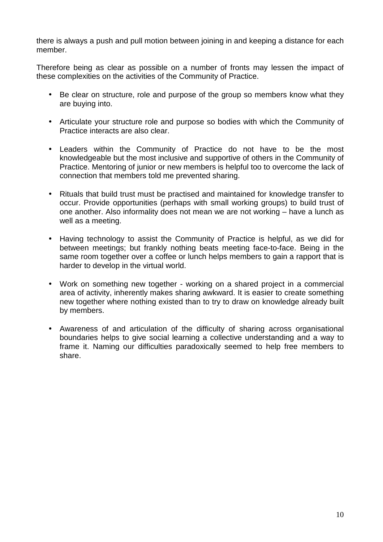there is always a push and pull motion between joining in and keeping a distance for each member.

Therefore being as clear as possible on a number of fronts may lessen the impact of these complexities on the activities of the Community of Practice.

- Be clear on structure, role and purpose of the group so members know what they are buying into.
- Articulate your structure role and purpose so bodies with which the Community of Practice interacts are also clear.
- Leaders within the Community of Practice do not have to be the most knowledgeable but the most inclusive and supportive of others in the Community of Practice. Mentoring of junior or new members is helpful too to overcome the lack of connection that members told me prevented sharing.
- Rituals that build trust must be practised and maintained for knowledge transfer to occur. Provide opportunities (perhaps with small working groups) to build trust of one another. Also informality does not mean we are not working – have a lunch as well as a meeting.
- Having technology to assist the Community of Practice is helpful, as we did for between meetings; but frankly nothing beats meeting face-to-face. Being in the same room together over a coffee or lunch helps members to gain a rapport that is harder to develop in the virtual world.
- Work on something new together working on a shared project in a commercial area of activity, inherently makes sharing awkward. It is easier to create something new together where nothing existed than to try to draw on knowledge already built by members.
- Awareness of and articulation of the difficulty of sharing across organisational boundaries helps to give social learning a collective understanding and a way to frame it. Naming our difficulties paradoxically seemed to help free members to share.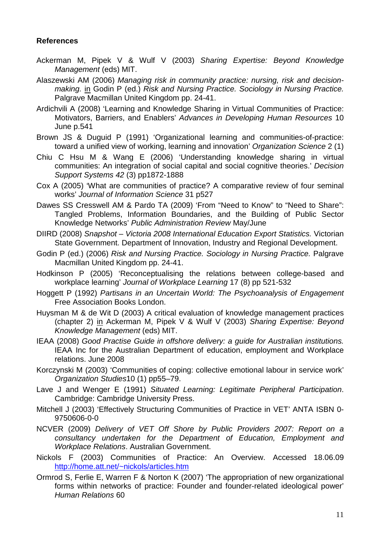## **References**

- Ackerman M, Pipek V & Wulf V (2003) Sharing Expertise: Beyond Knowledge Management (eds) MIT.
- Alaszewski AM (2006) Managing risk in community practice: nursing, risk and decisionmaking. in Godin P (ed.) Risk and Nursing Practice. Sociology in Nursing Practice. Palgrave Macmillan United Kingdom pp. 24-41.
- Ardichvili A (2008) 'Learning and Knowledge Sharing in Virtual Communities of Practice: Motivators, Barriers, and Enablers' Advances in Developing Human Resources 10 June p.541
- Brown JS & Duguid P (1991) 'Organizational learning and communities-of-practice: toward a unified view of working, learning and innovation' Organization Science 2 (1)
- Chiu C Hsu M & Wang E (2006) 'Understanding knowledge sharing in virtual communities: An integration of social capital and social cognitive theories.' Decision Support Systems 42 (3) pp1872-1888
- Cox A (2005) 'What are communities of practice? A comparative review of four seminal works' Journal of Information Science 31 p527
- Dawes SS Cresswell AM & Pardo TA (2009) 'From "Need to Know" to "Need to Share": Tangled Problems, Information Boundaries, and the Building of Public Sector Knowledge Networks' Public Administration Review May/June
- DIIRD (2008) Snapshot Victoria 2008 International Education Export Statistics. Victorian State Government. Department of Innovation, Industry and Regional Development.
- Godin P (ed.) (2006) Risk and Nursing Practice. Sociology in Nursing Practice. Palgrave Macmillan United Kingdom pp. 24-41.
- Hodkinson P (2005) 'Reconceptualising the relations between college-based and workplace learning' Journal of Workplace Learning 17 (8) pp 521-532
- Hoggett P (1992) Partisans in an Uncertain World: The Psychoanalysis of Engagement Free Association Books London.
- Huysman M & de Wit D (2003) A critical evaluation of knowledge management practices (chapter 2) in Ackerman M, Pipek V & Wulf V (2003) Sharing Expertise: Beyond Knowledge Management (eds) MIT.
- IEAA (2008) Good Practise Guide in offshore delivery: a guide for Australian institutions. IEAA Inc for the Australian Department of education, employment and Workplace relations. June 2008
- Korczynski M (2003) 'Communities of coping: collective emotional labour in service work' Organization Studies10 (1) pp55–79.
- Lave J and Wenger E (1991) Situated Learning: Legitimate Peripheral Participation. Cambridge: Cambridge University Press.
- Mitchell J (2003) 'Effectively Structuring Communities of Practice in VET' ANTA ISBN 0- 9750606-0-0
- NCVER (2009) Delivery of VET Off Shore by Public Providers 2007: Report on a consultancy undertaken for the Department of Education, Employment and Workplace Relations. Australian Government.
- Nickols F (2003) Communities of Practice: An Overview. Accessed 18.06.09 http://home.att.net/~nickols/articles.htm
- Ormrod S, Ferlie E, Warren F & Norton K (2007) 'The appropriation of new organizational forms within networks of practice: Founder and founder-related ideological power' Human Relations 60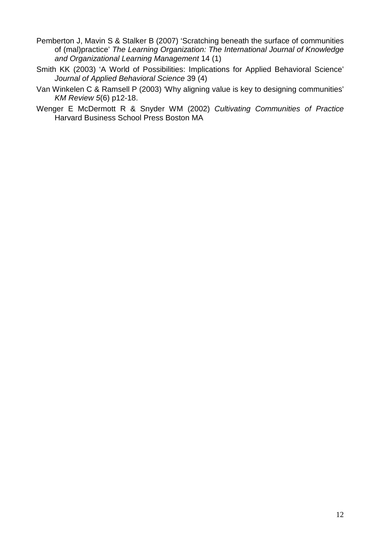- Pemberton J, Mavin S & Stalker B (2007) 'Scratching beneath the surface of communities of (mal)practice' The Learning Organization: The International Journal of Knowledge and Organizational Learning Management 14 (1)
- Smith KK (2003) 'A World of Possibilities: Implications for Applied Behavioral Science' Journal of Applied Behavioral Science 39 (4)
- Van Winkelen C & Ramsell P (2003) 'Why aligning value is key to designing communities' KM Review 5(6) p12-18.
- Wenger E McDermott R & Snyder WM (2002) Cultivating Communities of Practice Harvard Business School Press Boston MA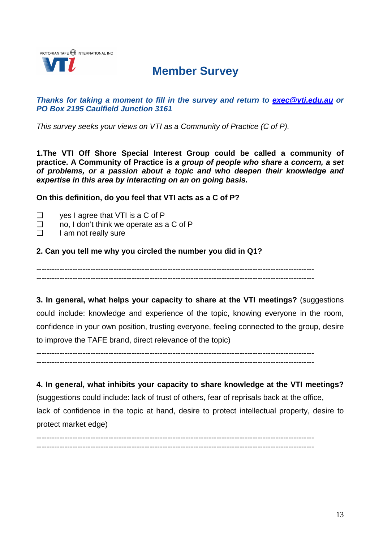

# **Member Survey**

### **Thanks for taking a moment to fill in the survey and return to exec@vti.edu.au or PO Box 2195 Caulfield Junction 3161**

This survey seeks your views on VTI as a Community of Practice (C of P).

**1.The VTI Off Shore Special Interest Group could be called a community of practice. A Community of Practice is a group of people who share a concern, a set of problems, or a passion about a topic and who deepen their knowledge and expertise in this area by interacting on an on going basis.** 

**On this definition, do you feel that VTI acts as a C of P?** 

- ❑ yes I agree that VTI is a C of P
- ❑ no, I don't think we operate as a C of P
- $\Box$  I am not really sure

## **2. Can you tell me why you circled the number you did in Q1?**

------------------------------------------------------------------------------------------------------------ ------------------------------------------------------------------------------------------------------------

**3. In general, what helps your capacity to share at the VTI meetings?** (suggestions could include: knowledge and experience of the topic, knowing everyone in the room, confidence in your own position, trusting everyone, feeling connected to the group, desire to improve the TAFE brand, direct relevance of the topic)

------------------------------------------------------------------------------------------------------------ ------------------------------------------------------------------------------------------------------------

**4. In general, what inhibits your capacity to share knowledge at the VTI meetings?**  (suggestions could include: lack of trust of others, fear of reprisals back at the office, lack of confidence in the topic at hand, desire to protect intellectual property, desire to protect market edge)

------------------------------------------------------------------------------------------------------------ ------------------------------------------------------------------------------------------------------------